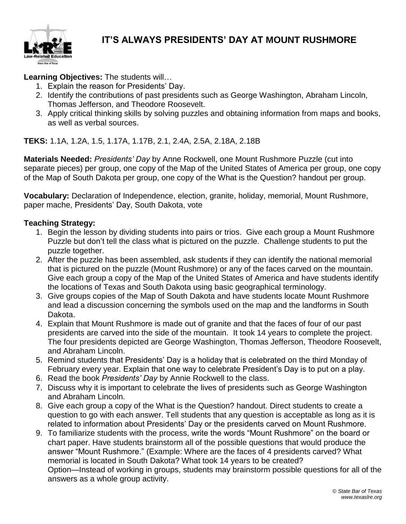

### **IT'S ALWAYS PRESIDENTS' DAY AT MOUNT RUSHMORE**

**Learning Objectives:** The students will…

- 1. Explain the reason for Presidents' Day.
- 2. Identify the contributions of past presidents such as George Washington, Abraham Lincoln, Thomas Jefferson, and Theodore Roosevelt.
- 3. Apply critical thinking skills by solving puzzles and obtaining information from maps and books, as well as verbal sources.

**TEKS:** 1.1A, 1.2A, 1.5, 1.17A, 1.17B, 2.1, 2.4A, 2.5A, 2.18A, 2.18B

**Materials Needed:** *Presidents' Day* by Anne Rockwell, one Mount Rushmore Puzzle (cut into separate pieces) per group, one copy of the Map of the United States of America per group, one copy of the Map of South Dakota per group, one copy of the What is the Question? handout per group.

**Vocabulary:** Declaration of Independence, election, granite, holiday, memorial, Mount Rushmore, paper mache, Presidents' Day, South Dakota, vote

### **Teaching Strategy:**

- 1. Begin the lesson by dividing students into pairs or trios. Give each group a Mount Rushmore Puzzle but don't tell the class what is pictured on the puzzle. Challenge students to put the puzzle together.
- 2. After the puzzle has been assembled, ask students if they can identify the national memorial that is pictured on the puzzle (Mount Rushmore) or any of the faces carved on the mountain. Give each group a copy of the Map of the United States of America and have students identify the locations of Texas and South Dakota using basic geographical terminology.
- 3. Give groups copies of the Map of South Dakota and have students locate Mount Rushmore and lead a discussion concerning the symbols used on the map and the landforms in South Dakota.
- 4. Explain that Mount Rushmore is made out of granite and that the faces of four of our past presidents are carved into the side of the mountain. It took 14 years to complete the project. The four presidents depicted are George Washington, Thomas Jefferson, Theodore Roosevelt, and Abraham Lincoln.
- 5. Remind students that Presidents' Day is a holiday that is celebrated on the third Monday of February every year. Explain that one way to celebrate President's Day is to put on a play.
- 6. Read the book *Presidents' Day* by Annie Rockwell to the class.
- 7. Discuss why it is important to celebrate the lives of presidents such as George Washington and Abraham Lincoln.
- 8. Give each group a copy of the What is the Question? handout. Direct students to create a question to go with each answer. Tell students that any question is acceptable as long as it is related to information about Presidents' Day or the presidents carved on Mount Rushmore.
- 9. To familiarize students with the process, write the words "Mount Rushmore" on the board or chart paper. Have students brainstorm all of the possible questions that would produce the answer "Mount Rushmore." (Example: Where are the faces of 4 presidents carved? What memorial is located in South Dakota? What took 14 years to be created? Option—Instead of working in groups, students may brainstorm possible questions for all of the answers as a whole group activity.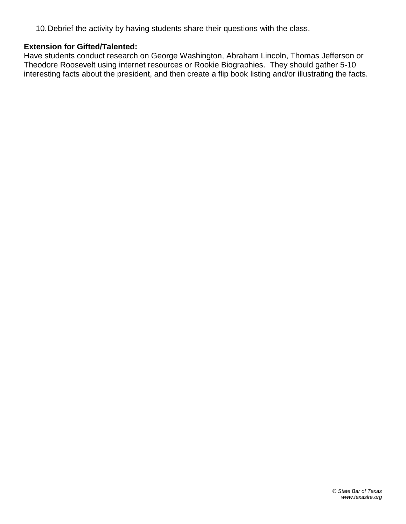10.Debrief the activity by having students share their questions with the class.

#### **Extension for Gifted/Talented:**

Have students conduct research on George Washington, Abraham Lincoln, Thomas Jefferson or Theodore Roosevelt using internet resources or Rookie Biographies. They should gather 5-10 interesting facts about the president, and then create a flip book listing and/or illustrating the facts.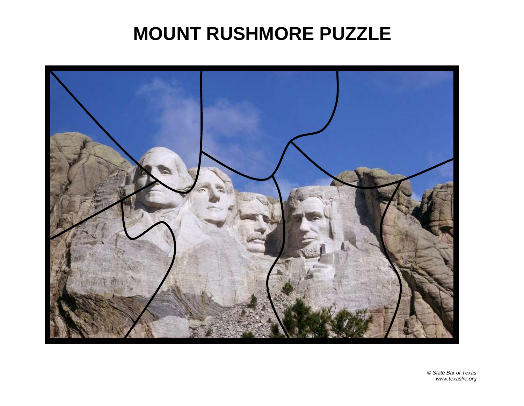# **MOUNT RUSHMORE PUZZLE**

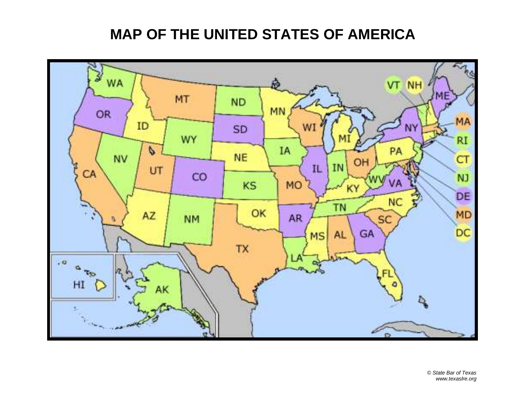## **MAP OF THE UNITED STATES OF AMERICA**

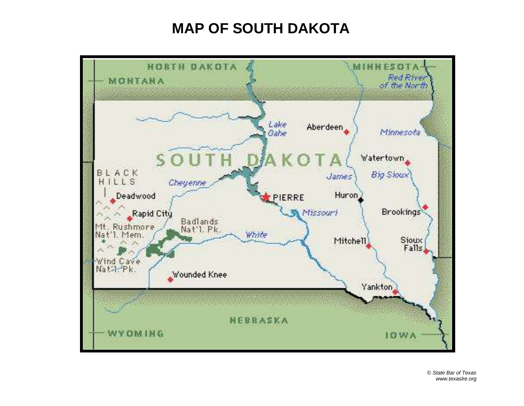## **MAP OF SOUTH DAKOTA**